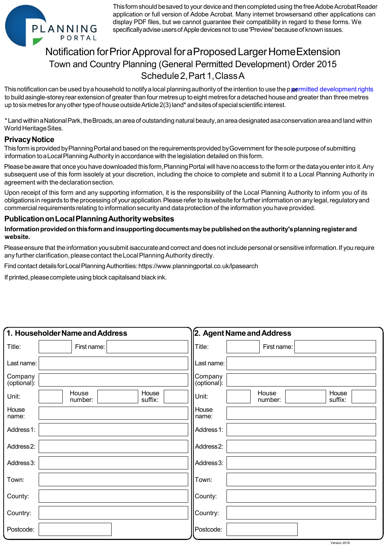

 Thisformshould besaved to your deviceand thencompleted using the freeAdobeAcrobatReader specificallyadvise users of Apple devices not to use 'Preview' because of known issues. application or full version of Adobe Acrobat. Many internet browsersand other applications can display PDF files, but we cannot guarantee their compatibility in regard to these forms. We

## Notification forPriorApproval foraProposedLargerHomeExtension Schedule2,Part 1,ClassA Town and Country Planning (General Permitted Development) Order 2015

This notification can be used by a household to notify a local planning authority of the intention to use the p*pe*rmitted development rights to build asingle-storey rear extension of greater than four metres up to eight metres for a detached house and greater than three metres up to six metres for any other type of house outside Article 2(3) land\* and sites of special scientific interest.

 \*Land withinaNationalPark, theBroads,an area of outstanding natural beauty,anarea designated asaconservation areaand land within World HeritageSites.

## **PrivacyNotice**

 Thisform isprovided byPlanningPortal and based on the requirementsprovided byGovernment for thesole purpose of submitting information toaLocalPlanning Authority in accordance with the legislation detailed on thisform.

Please be aware that once you have downloaded this form,Planning Portal will have no access to the form or the data you enter into it. Any subsequent use of this form issolely at your discretion, including the choice to complete and submit it to a Local Planning Authority in agreement with the declarationsection.

 Upon receipt of this form and any supporting information, it is the responsibility of the Local Planning Authority to inform you of its obligations in regards to the processing of your application. Please refer to its website for further information on any legal, regulatory and commercial requirements relating to informationsecurityand dataprotection of the information you have provided.

## **PublicationonLocalPlanningAuthoritywebsites**

 **Informationprovidedon thisformand insupporting documentsmaybe publishedon theauthority'splanning register and website.** 

Please ensure that the information you submit isaccurate and correct and does not include personal or sensitive information. If you require any further clarification, please contact the Local Planning Authority directly.

Find contact detailsforLocalPlanning Authorities:https://www.planningportal.co.uk/lpasearch

If printed, please complete using block capitalsand black ink.

|                        | 1. Householder Name and Address      | 2. Agent Name and Address                     |
|------------------------|--------------------------------------|-----------------------------------------------|
| Title:                 | First name:                          | Title:<br>First name:                         |
| Last name:             |                                      | Last name:                                    |
| Company<br>(optional): |                                      | Company<br>(optional):                        |
| Unit:                  | House<br>House<br>suffix:<br>number: | House<br>House<br>Unit:<br>suffix:<br>number: |
| House<br>name:         |                                      | House<br>name:                                |
| Address 1:             |                                      | Address 1:                                    |
| Address <sub>2:</sub>  |                                      | Address <sub>2</sub> :                        |
| Address 3:             |                                      | Address 3:                                    |
| Town:                  |                                      | Town:                                         |
| County:                |                                      | County:                                       |
| Country:               |                                      | Country:                                      |
| Postcode:              |                                      | Postcode:                                     |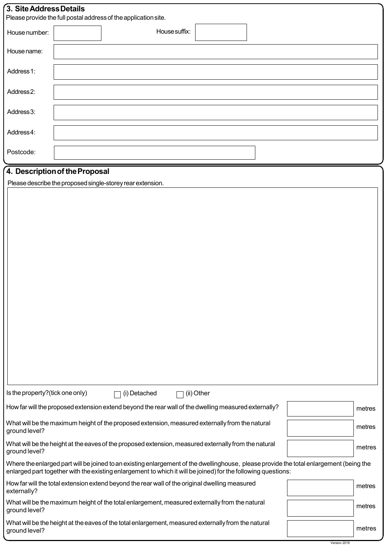| 3. Site Address Details<br>Please provide the full postal address of the application site.                                                                                                                                                               |                                                                                                |               |            |  |        |        |  |
|----------------------------------------------------------------------------------------------------------------------------------------------------------------------------------------------------------------------------------------------------------|------------------------------------------------------------------------------------------------|---------------|------------|--|--------|--------|--|
| House number:                                                                                                                                                                                                                                            |                                                                                                | House suffix: |            |  |        |        |  |
| House name:                                                                                                                                                                                                                                              |                                                                                                |               |            |  |        |        |  |
| Address 1:                                                                                                                                                                                                                                               |                                                                                                |               |            |  |        |        |  |
| Address <sub>2</sub> :                                                                                                                                                                                                                                   |                                                                                                |               |            |  |        |        |  |
| Address 3:                                                                                                                                                                                                                                               |                                                                                                |               |            |  |        |        |  |
| Address4:                                                                                                                                                                                                                                                |                                                                                                |               |            |  |        |        |  |
| Postcode:                                                                                                                                                                                                                                                |                                                                                                |               |            |  |        |        |  |
|                                                                                                                                                                                                                                                          | 4. Description of the Proposal                                                                 |               |            |  |        |        |  |
|                                                                                                                                                                                                                                                          | Please describe the proposed single-storey rear extension.                                     |               |            |  |        |        |  |
|                                                                                                                                                                                                                                                          |                                                                                                |               |            |  |        |        |  |
|                                                                                                                                                                                                                                                          |                                                                                                |               |            |  |        |        |  |
|                                                                                                                                                                                                                                                          |                                                                                                |               |            |  |        |        |  |
|                                                                                                                                                                                                                                                          |                                                                                                |               |            |  |        |        |  |
|                                                                                                                                                                                                                                                          |                                                                                                |               |            |  |        |        |  |
|                                                                                                                                                                                                                                                          |                                                                                                |               |            |  |        |        |  |
|                                                                                                                                                                                                                                                          |                                                                                                |               |            |  |        |        |  |
|                                                                                                                                                                                                                                                          |                                                                                                |               |            |  |        |        |  |
|                                                                                                                                                                                                                                                          |                                                                                                |               |            |  |        |        |  |
|                                                                                                                                                                                                                                                          |                                                                                                |               |            |  |        |        |  |
|                                                                                                                                                                                                                                                          |                                                                                                |               |            |  |        |        |  |
|                                                                                                                                                                                                                                                          |                                                                                                |               |            |  |        |        |  |
|                                                                                                                                                                                                                                                          |                                                                                                |               |            |  |        |        |  |
|                                                                                                                                                                                                                                                          |                                                                                                |               |            |  |        |        |  |
|                                                                                                                                                                                                                                                          |                                                                                                |               |            |  |        |        |  |
|                                                                                                                                                                                                                                                          |                                                                                                |               |            |  |        |        |  |
|                                                                                                                                                                                                                                                          |                                                                                                |               |            |  |        |        |  |
| Is the property?(tick one only)                                                                                                                                                                                                                          | (i) Detached                                                                                   |               | (ii) Other |  |        |        |  |
| How far will the proposed extension extend beyond the rear wall of the dwelling measured externally?<br>metres                                                                                                                                           |                                                                                                |               |            |  |        |        |  |
| What will be the maximum height of the proposed extension, measured externally from the natural<br>ground level?                                                                                                                                         |                                                                                                | metres        |            |  |        |        |  |
| What will be the height at the eaves of the proposed extension, measured externally from the natural<br>ground level?                                                                                                                                    |                                                                                                |               |            |  | metres |        |  |
| Where the enlarged part will be joined to an existing enlargement of the dwellinghouse, please provide the total enlargement (being the<br>enlarged part together with the existing enlargement to which it will be joined) for the following questions: |                                                                                                |               |            |  |        |        |  |
| externally?                                                                                                                                                                                                                                              | How far will the total extension extend beyond the rear wall of the original dwelling measured |               |            |  | metres |        |  |
| ground level?                                                                                                                                                                                                                                            | What will be the maximum height of the total enlargement, measured externally from the natural |               |            |  |        | metres |  |
| What will be the height at the eaves of the total enlargement, measured externally from the natural<br>ground level?                                                                                                                                     |                                                                                                |               |            |  | metres |        |  |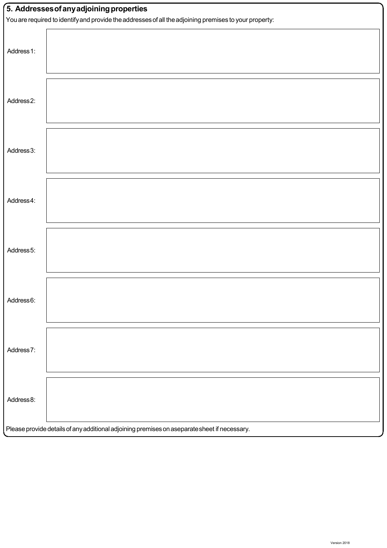| 5. Addresses of any adjoining properties                                                               |  |  |  |  |
|--------------------------------------------------------------------------------------------------------|--|--|--|--|
| You are required to identify and provide the addresses of all the adjoining premises to your property: |  |  |  |  |
| Address 1:                                                                                             |  |  |  |  |
| Address2:                                                                                              |  |  |  |  |
| Address 3:                                                                                             |  |  |  |  |
| Address4:                                                                                              |  |  |  |  |
| Address 5:                                                                                             |  |  |  |  |
| Address6:                                                                                              |  |  |  |  |
| Address7:                                                                                              |  |  |  |  |
| Address 8:                                                                                             |  |  |  |  |
| Please provide details of any additional adjoining premises on aseparate sheet if necessary.           |  |  |  |  |